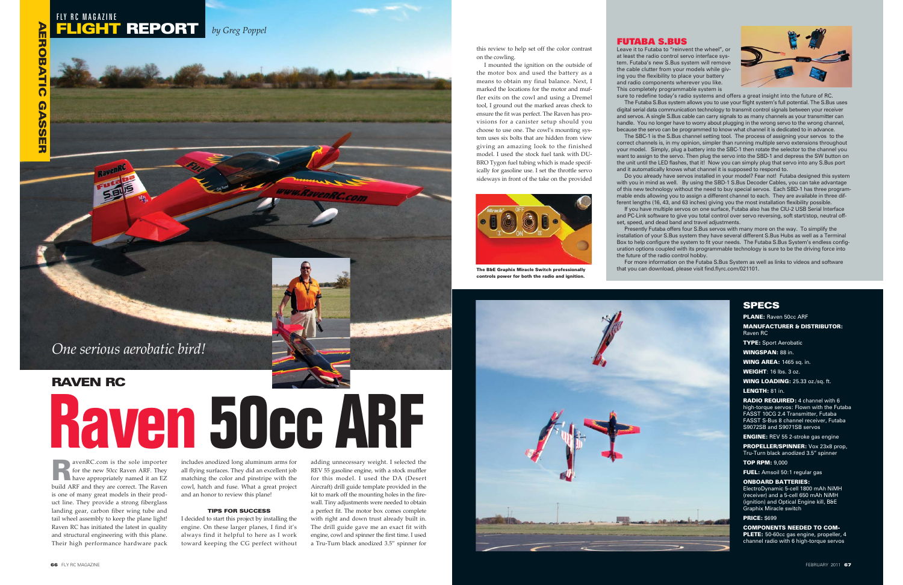this review to help set off the color contrast on the cowling.

I mounted the ignition on the outside of the motor box and used the battery as a means to obtain my final balance. Next, I marked the locations for the motor and muffler exits on the cowl and using a Dremel tool, I ground out the marked areas check to ensure the fit was perfect. The Raven has provisions for a canister setup should you choose to use one. The cowl's mounting system uses six bolts that are hidden from view giving an amazing look to the finished model. I used the stock fuel tank with DU-BRO Tygon fuel tubing which is made specifically for gasoline use. I set the throttle servo sideways in front of the take on the provided

RavenRC.com is the sole importer for the new 50cc Raven ARF. They have appropriately named it an EZ build ARF and they are correct. The Raven is one of many great models in their product line. They provide a strong fiberglass landing gear, carbon fiber wing tube and tail wheel assembly to keep the plane light! Raven RC has initiated the latest in quality and structural engineering with this plane. Their high performance hardware pack

includes anodized long aluminum arms for all flying surfaces. They did an excellent job matching the color and pinstripe with the cowl, hatch and fuse. What a great project and an honor to review this plane!

#### TIPS FOR SUCCESS

I decided to start this project by installing the engine. On these larger planes, I find it's always find it helpful to here as I work toward keeping the CG perfect without adding unnecessary weight. I selected the REV 55 gasoline engine, with a stock muffler for this model. I used the DA (Desert Aircraft) drill guide template provided in the kit to mark off the mounting holes in the firewall. Tiny adjustments were needed to obtain a perfect fit. The motor box comes complete with right and down trust already built in. The drill guide gave me an exact fit with engine, cowl and spinner the first time. I used a Tru-Turn black anodized 3.5" spinner for



## *One serious aerobatic bird!*

# RAVEN RC **Raven 50cc ARF**



The B&E Graphix Miracle Switch professionally controls power for both the radio and ignition.



PLANE: Raven 50cc ARF

MANUFACTURER & DISTRIBUTOR: Raven RC

TYPE: Sport Aerobatic

WINGSPAN: 88 in.

WING AREA: 1465 sq. in.

WEIGHT: 16 lbs. 3 oz.

WING LOADING: 25.33 oz./sq. ft.

LENGTH: 81 in.

RADIO REQUIRED: 4 channel with 6 high-torque servos: Flown with the Futaba FASST 10CG 2.4 Transmitter, Futaba FASST S-Bus 8 channel receiver, Futaba S9072SB and S9071SB servos

ENGINE: REV 55 2-stroke gas engine

PROPELLER/SPINNER: Vox 23x8 prop, Tru-Turn black anodized 3.5" spinner

TOP RPM: 9,000

FUEL: Amsoil 50:1 regular gas

#### ONBOARD BATTERIES:

ElectroDynamic 5-cell 1800 mAh NiMH (receiver) and a 5-cell 650 mAh NiMH (ignition) and Optical Engine kill, B&E Graphix Miracle switch

#### PRICE: \$699

COMPONENTS NEEDED TO COM-**PLETE:** 50-60cc gas engine, propeller, 4 channel radio with 6 high-torque servos

Leave it to Futaba to "reinvent the wheel", or at least the radio control servo interface system. Futaba's new S.Bus system will remove the cable clutter from your models while giving you the flexibility to place your battery and radio components wherever you like. This completely programmable system is

sure to redefine today's radio systems and offers a great insight into the future of RC. The Futaba S.Bus system allows you to use your flight system's full potential. The S.Bus uses digital serial data communication technology to transmit control signals between your receiver and servos. A single S.Bus cable can carry signals to as many channels as your transmitter can handle. You no longer have to worry about plugging in the wrong servo to the wrong channel, because the servo can be programmed to know what channel it is dedicated to in advance. The SBC-1 is the S.Bus channel setting tool. The process of assigning your servos to the correct channels is, in my opinion, simpler than running multiple servo extensions throughout your model. Simply, plug a battery into the SBC-1 then rotate the selector to the channel you want to assign to the servo. Then plug the servo into the SBD-1 and depress the SW button on the unit until the LED flashes, that it! Now you can simply plug that servo into any S.Bus port and it automatically knows what channel it is supposed to respond to.

Do you already have servos installed in your model? Fear not! Futaba designed this system with you in mind as well. By using the SBD-1 S.Bus Decoder Cables, you can take advantage of this new technology without the need to buy special servos. Each SBD-1 has three programmable ends allowing you to assign a different channel to each. They are available in three different lengths (16, 43, and 63 inches) giving you the most installation flexibility possible. If you have multiple servos on one surface, Futaba also has the CIU-2 USB Serial Interface and PC-Link software to give you total control over servo reversing, soft start/stop, neutral offset, speed, and dead band and travel adjustments.

Presently Futaba offers four S.Bus servos with many more on the way. To simplify the installation of your S.Bus system they have several different S.Bus Hubs as well as a Terminal Box to help configure the system to fit your needs. The Futaba S.Bus System's endless configuration options coupled with its programmable technology is sure to be the driving force into the future of the radio control hobby. For more information on the Futaba S.Bus System as well as links to videos and software



that you can download, please visit find.flyrc.com/021101.

### **SPECS**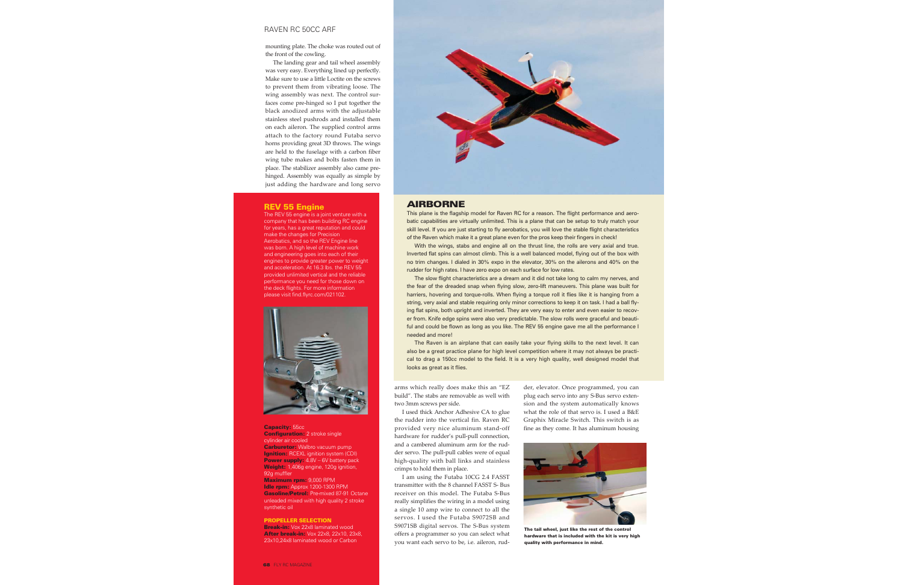mounting plate. The choke was routed out of the front of the cowling.

The landing gear and tail wheel assembly was very easy. Everything lined up perfectly. Make sure to use a little Loctite on the screws to prevent them from vibrating loose. The wing assembly was next. The control surfaces come pre-hinged so I put together the black anodized arms with the adjustable stainless steel pushrods and installed them on each aileron. The supplied control arms attach to the factory round Futaba servo horns providing great 3D throws. The wings are held to the fuselage with a carbon fiber wing tube makes and bolts fasten them in place. The stabilizer assembly also came prehinged. Assembly was equally as simple by just adding the hardware and long servo

> arms which really does make this an "EZ build". The stabs are removable as well with two 3mm screws per side.

> I used thick Anchor Adhesive CA to glue the rudder into the vertical fin. Raven RC provided very nice aluminum stand-off hardware for rudder's pull-pull connection, and a cambered aluminum arm for the rudder servo. The pull-pull cables were of equal high-quality with ball links and stainless crimps to hold them in place.

> I am using the Futaba 10CG 2.4 FASST transmitter with the 8 channel FASST S- Bus receiver on this model. The Futaba S-Bus really simplifies the wiring in a model using a single 10 amp wire to connect to all the servos. I used the Futaba S9072SB and S9071SB digital servos. The S-Bus system offers a programmer so you can select what you want each servo to be, i.e. aileron, rud

der, elevator. Once programmed, you can plug each servo into any S-Bus servo exten sion and the system automatically knows what the role of that servo is. I used a B&E Graphix Miracle Switch. This switch is as fine as they come. It has aluminum housing

This plane is the flagship model for Raven RC for a reason. The flight performance and aerobatic capabilities are virtually unlimited. This is a plane that can be setup to truly match your skill level. If you are just starting to fly aerobatics, you will love the stable flight characteristics of the Raven which make it a great plane even for the pros keep their fingers in check!

With the wings, stabs and engine all on the thrust line, the rolls are very axial and true. Inverted flat spins can almost climb. This is a well balanced model, flying out of the box with no trim changes. I dialed in 30% expo in the elevator, 30% on the ailerons and 40% on the rudder for high rates. I have zero expo on each surface for low rates.



The tail wheel, just like the rest of the contro hardware that is included with the kit is very high quality with performance in mind.

The slow flight characteristics are a dream and it did not take long to calm my nerves, and the fear of the dreaded snap when flying slow, zero-lift maneuvers. This plane was built for harriers, hovering and torque-rolls. When flying a torque roll it flies like it is hanging from a string, very axial and stable requiring only minor corrections to keep it on task. I had a ball flying flat spins, both upright and inverted. They are very easy to enter and even easier to recover from. Knife edge spins were also very predictable. The slow rolls were graceful and beautiful and could be flown as long as you like. The REV 55 engine gave me all the performance I needed and more!

The Raven is an airplane that can easily take your flying skills to the next level. It can also be a great practice plane for high level competition where it may not always be practical to drag a 150cc model to the field. It is a very high quality, well designed model that looks as great as it flies.

#### AIRBORNE

#### RAVEN RC 50CC ARF

#### REV 55 Engine

The REV 55 engine is a joint venture with a company that has been building RC engine for years, has a great reputation and could make the changes for Precision Aerobatics, and so the REV Engine line was born. A high level of machine work and engineering goes into each of their engines to provide greater power to weight and acceleration. At 16.3 lbs. the REV 55 provided unlimited vertical and the reliable performance you need for those down on the deck flights. For more information please visit find.flyrc.com/021102.



Capacity: 55cc Configuration: 2 stroke single cylinder air cooled Carburetor: Walbro vacuum pump **Ignition:** RCEXL ignition system (CDI) Power supply:  $4.8V - 6V$  battery pack Weight: 1,406g engine, 120g ignition, 92g muffler Maximum rpm: 9,000 RPM Idle rpm: Approx 1200-1300 RPM Gasoline/Petrol: Pre-mixed 87-91 Octane unleaded mixed with high quality 2 stroke synthetic oil

#### PROPELLER SELECTION

Break-in: Vox 22x8 laminated wood After break-in: Vox 22x8, 22x10, 23x8, 23x10,24x8 laminated wood or Carbon